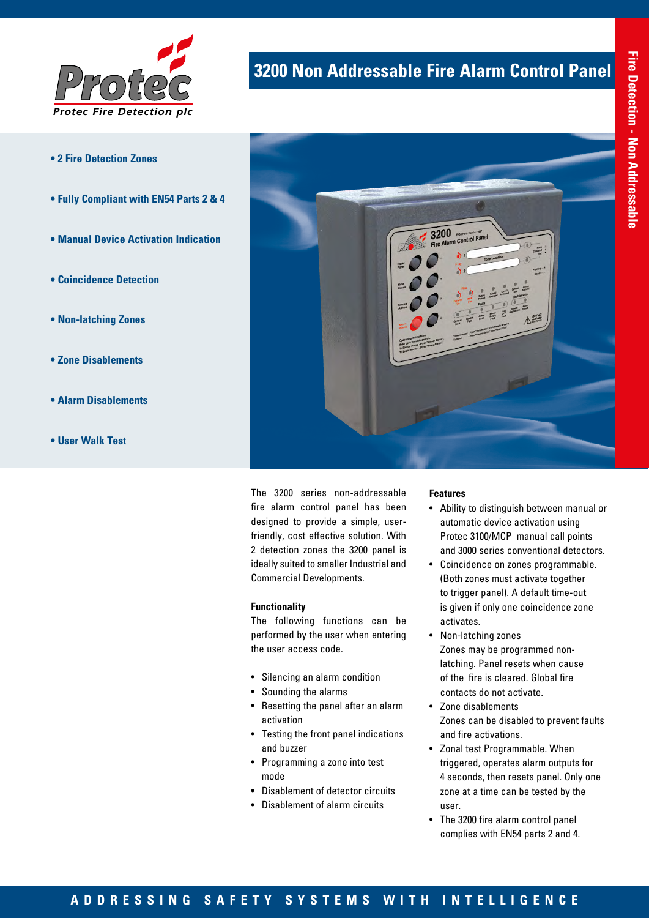

- **2 Fire Detection Zones**
- **Fully Compliant with EN54 Parts 2 & 4**
- **Manual Device Activation Indication**
- **Coincidence Detection**
- **Non-latching Zones**
- **Zone Disablements**
- **Alarm Disablements**
- **User Walk Test**

# **3200 Non Addressable Fire Alarm Control Panel**



The 3200 series non-addressable fire alarm control panel has been designed to provide a simple, userfriendly, cost effective solution. With 2 detection zones the 3200 panel is ideally suited to smaller Industrial and Commercial Developments.

### **Functionality**

The following functions can be performed by the user when entering the user access code.

- Silencing an alarm condition
- Sounding the alarms
- Resetting the panel after an alarm activation
- Testing the front panel indications and buzzer
- Programming a zone into test mode
- Disablement of detector circuits
- Disablement of alarm circuits

#### **Features**

- Ability to distinguish between manual or automatic device activation using Protec 3100/MCP manual call points and 3000 series conventional detectors.
- Coincidence on zones programmable. (Both zones must activate together to trigger panel). A default time-out is given if only one coincidence zone activates.
- Non-latching zones Zones may be programmed nonlatching. Panel resets when cause of the fire is cleared. Global fire contacts do not activate.
- Zone disablements Zones can be disabled to prevent faults and fire activations.
- Zonal test Programmable. When triggered, operates alarm outputs for 4 seconds, then resets panel. Only one zone at a time can be tested by the user.
- The 3200 fire alarm control panel complies with EN54 parts 2 and 4.